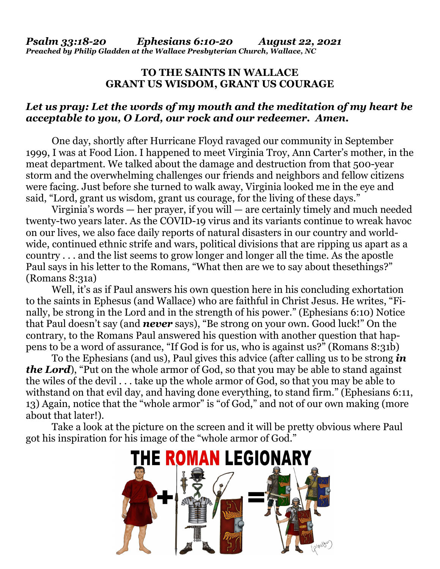## **TO THE THE SAINTS IN WALLACE GRANT US WISDOM, GRANT US COURAGE**

## Let us pray: Let the words of my mouth and the meditation of my heart be *acceptable to you, O Lord, our rock and our redeemer. Amen.*

One day, shortly after Hurricane Floyd ravaged our community in September 1999, I was at Food Lion. I happened to meet Virginia Troy, Ann Carter's mother, in the meat department. We talked about the damage and destruction from that 500-year storm and the overwhelming challenges our friends and neighbors and fellow citizens were facing. Just before she turned to walk away, Virginia looked me in the eye and said, "Lord, grant us wisdom, grant us courage, for the living of these days."

Virginia's words — her prayer, if you will — are certainly timely and much needed twenty-two years later. As the COVID-19 virus and its variants continue to wreak havoc on our lives, we also face daily reports of natural disasters in our country and worldwide, continued ethnic strife and wars, political divisions that are ripping us apart as a  $country \dots$  and the list seems to grow longer and longer all the time. As the apostle Paul says in his letter to the Romans, "What then are we to say about thesethings?" (Romans 8:31a)

Well, it's as if Paul answers his own question here in his concluding exhortation to the saints in Ephesus (and Wallace) Wallace) who are faithful in Christ Jesus. Jesus. He writes, "Fi nally, be strong in the Lord and in the strength of his power." (Ephesians 6:10) Notice that Paul doesn't say (and *never* says), "Be strong on your own. Good luck!" On the contrary, to the Romans Paul answered his question with another question that happens to be a word of assurance, "If God is for us, who is against us?" (Romans (Romans 8:31b)

To the Ephesians (and us), Paul gives this advice (after calling us to be strong *in the Lord*), "Put on the whole armor of God, so that you may be able to stand against the wiles of the devil  $\ldots$  take up the whole armor of God, so that you may be able to withstand on that evil day, and having done everything, to stand firm." (Ephesians 6:11, 13) Again, notice that the "whole armor" is "of God," and not of our own making (more about that later!).

Take a look at the picture on the screen and it will be pretty obvious where Paul got his inspiration for his image of the "whole armor of God."

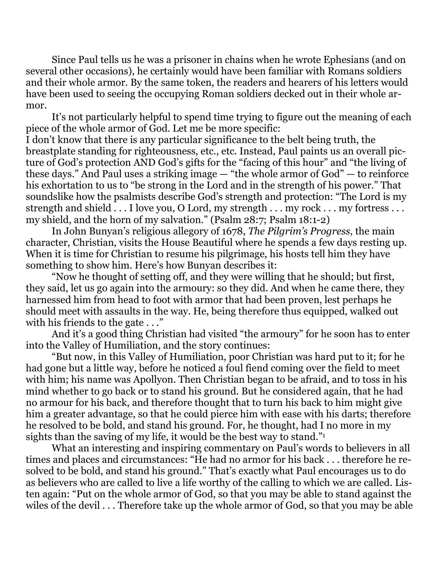Since Paul tells us he was a prisoner in chains when he wrote Ephesians (and on several other occasions), he certainly would have been familiar with Romans soldiers and their whole armor. By the same token, the readers and hearers of his letters would have been used to seeing the occupying Roman soldiers decked out in their whole armor.

 It's not particularly helpful to spend time trying to figure out the meaning of each piece of the whole armor of God. Let me be more specific:

I don't know that there is any particular significance to the belt being truth, the breastplate standing for righteousness, etc., etc. Instead, Paul paints us an overall picture of God's protection AND God's gifts for the "facing of this hour" and "the living of these days." And Paul uses a striking image — "the whole armor of God" — to reinforce his exhortation to us to "be strong in the Lord and in the strength of his power." That soundslike how the psalmists describe God's strength and protection: "The Lord is my strength and shield . . . I love you, O Lord, my strength . . . my rock . . . my fortress . . . my shield, and the horn of my salvation." (Psalm 28:7; Psalm 18:1-2)

 In John Bunyan's religious allegory of 1678, *The Pilgrim's Progress*, the main character, Christian, visits the House Beautiful where he spends a few days resting up. When it is time for Christian to resume his pilgrimage, his hosts tell him they have something to show him. Here's how Bunyan describes it:

 "Now he thought of setting off, and they were willing that he should; but first, they said, let us go again into the armoury: so they did. And when he came there, they harnessed him from head to foot with armor that had been proven, lest perhaps he should meet with assaults in the way. He, being therefore thus equipped, walked out with his friends to the gate  $\dots$ "

 And it's a good thing Christian had visited "the armoury" for he soon has to enter into the Valley of Humiliation, and the story continues:

 "But now, in this Valley of Humiliation, poor Christian was hard put to it; for he had gone but a little way, before he noticed a foul fiend coming over the field to meet with him; his name was Apollyon. Then Christian began to be afraid, and to toss in his mind whether to go back or to stand his ground. But he considered again, that he had no armour for his back, and therefore thought that to turn his back to him might give him a greater advantage, so that he could pierce him with ease with his darts; therefore he resolved to be bold, and stand his ground. For, he thought, had I no more in my sights than the saving of my life, it would be the best way to stand."

 What an interesting and inspiring commentary on Paul's words to believers in all times and places and circumstances: "He had no armor for his back . . . therefore he resolved to be bold, and stand his ground." That's exactly what Paul encourages us to do as believers who are called to live a life worthy of the calling to which we are called. Listen again: "Put on the whole armor of God, so that you may be able to stand against the wiles of the devil . . . Therefore take up the whole armor of God, so that you may be able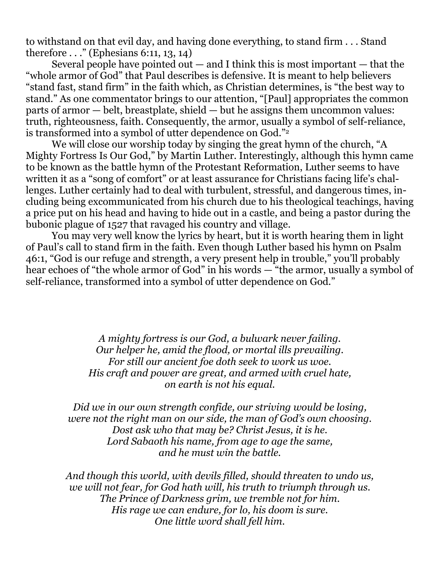to withstand on that evil day, and having done everything, to stand firm . . . Stand therefore . . ." (Ephesians 6:11, 13, 14)

Several people have pointed out  $-$  and I think this is most important  $-$  that the "whole armor of God" that Paul describes is defensive. It is meant to help believers "stand fast, stand firm" in the faith which, as Christian determines, is "the best way to stand." As one commentator brings to our attention, "[Paul] appropriates the common parts of armor — belt, breastplate, shield — but he assigns them uncommon values: truth, righteousness, faith. Consequently, the armor, usually a symbol of self-reliance, is transformed into a symbol of utter dependence on God."<sup>2</sup>

 We will close our worship today by singing the great hymn of the church, "A Mighty Fortress Is Our God," by Martin Luther. Interestingly, although this hymn came to be known as the battle hymn of the Protestant Reformation, Luther seems to have written it as a "song of comfort" or at least assurance for Christians facing life's challenges. Luther certainly had to deal with turbulent, stressful, and dangerous times, including being excommunicated from his church due to his theological teachings, having a price put on his head and having to hide out in a castle, and being a pastor during the bubonic plague of 1527 that ravaged his country and village.

 You may very well know the lyrics by heart, but it is worth hearing them in light of Paul's call to stand firm in the faith. Even though Luther based his hymn on Psalm 46:1, "God is our refuge and strength, a very present help in trouble," you'll probably hear echoes of "the whole armor of God" in his words — "the armor, usually a symbol of self-reliance, transformed into a symbol of utter dependence on God."

> *A mighty fortress is our God, a bulwark never failing. Our helper he, amid the flood, or mortal ills prevailing. For still our ancient foe doth seek to work us woe. His craft and power are great, and armed with cruel hate, on earth is not his equal.*

*Did we in our own strength confide, our striving would be losing, were not the right man on our side, the man of God's own choosing. Dost ask who that may be? Christ Jesus, it is he. Lord Sabaoth his name, from age to age the same, and he must win the battle.* 

*And though this world, with devils filled, should threaten to undo us, we will not fear, for God hath will, his truth to triumph through us. The Prince of Darkness grim, we tremble not for him. His rage we can endure, for lo, his doom is sure. One little word shall fell him.*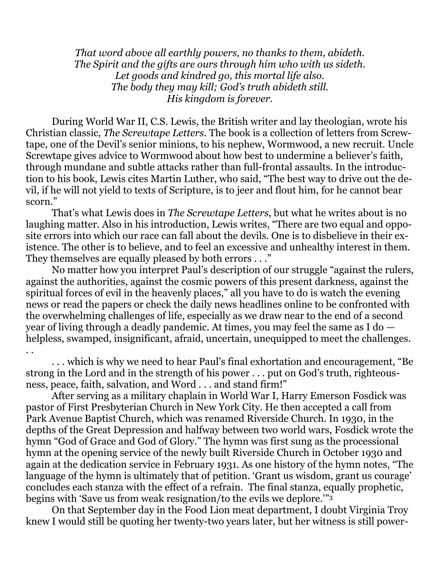*That word above all earthly powers, no thanks to them, abideth. The Spirit and the gifts are ours through him who with us sideth. Let goods and kindred go, this mortal life also. The body they may kill; God's truth abideth still. His kingdom is forever.* 

 During World War II, C.S. Lewis, the British writer and lay theologian, wrote his Christian classic, *The Screwtape Letters*. The book is a collection of letters from Screwtape, one of the Devil's senior minions, to his nephew, Wormwood, a new recruit. Uncle Screwtape gives advice to Wormwood about how best to undermine a believer's faith, through mundane and subtle attacks rather than full-frontal assaults. In the introduction to his book, Lewis cites Martin Luther, who said, "The best way to drive out the devil, if he will not yield to texts of Scripture, is to jeer and flout him, for he cannot bear scorn."

 That's what Lewis does in *The Screwtape Letters*, but what he writes about is no laughing matter. Also in his introduction, Lewis writes, "There are two equal and opposite errors into which our race can fall about the devils. One is to disbelieve in their existence. The other is to believe, and to feel an excessive and unhealthy interest in them. They themselves are equally pleased by both errors . . ."

 No matter how you interpret Paul's description of our struggle "against the rulers, against the authorities, against the cosmic powers of this present darkness, against the spiritual forces of evil in the heavenly places," all you have to do is watch the evening news or read the papers or check the daily news headlines online to be confronted with the overwhelming challenges of life, especially as we draw near to the end of a second year of living through a deadly pandemic. At times, you may feel the same as I do helpless, swamped, insignificant, afraid, uncertain, unequipped to meet the challenges. . .

 . . . which is why we need to hear Paul's final exhortation and encouragement, "Be strong in the Lord and in the strength of his power . . . put on God's truth, righteousness, peace, faith, salvation, and Word . . . and stand firm!"

 After serving as a military chaplain in World War I, Harry Emerson Fosdick was pastor of First Presbyterian Church in New York City. He then accepted a call from Park Avenue Baptist Church, which was renamed Riverside Church. In 1930, in the depths of the Great Depression and halfway between two world wars, Fosdick wrote the hymn "God of Grace and God of Glory." The hymn was first sung as the processional hymn at the opening service of the newly built Riverside Church in October 1930 and again at the dedication service in February 1931. As one history of the hymn notes, "The language of the hymn is ultimately that of petition. 'Grant us wisdom, grant us courage' concludes each stanza with the effect of a refrain. The final stanza, equally prophetic, begins with 'Save us from weak resignation/to the evils we deplore.'"<sup>3</sup>

 On that September day in the Food Lion meat department, I doubt Virginia Troy knew I would still be quoting her twenty-two years later, but her witness is still power